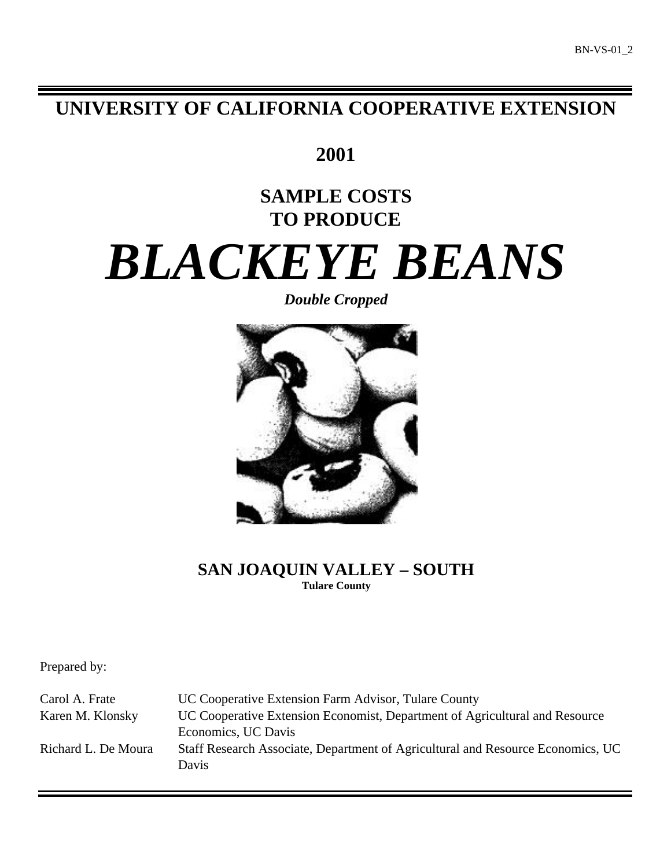# **UNIVERSITY OF CALIFORNIA COOPERATIVE EXTENSION**

**2001**

# **SAMPLE COSTS TO PRODUCE**

# *BLACKEYE BEANS*

# *Double Cropped*



# **SAN JOAQUIN VALLEY – SOUTH Tulare County**

Prepared by:

Carol A. Frate UC Cooperative Extension Farm Advisor, Tulare County Karen M. Klonsky UC Cooperative Extension Economist, Department of Agricultural and Resource Economics, UC Davis Richard L. De Moura Staff Research Associate, Department of Agricultural and Resource Economics, UC Davis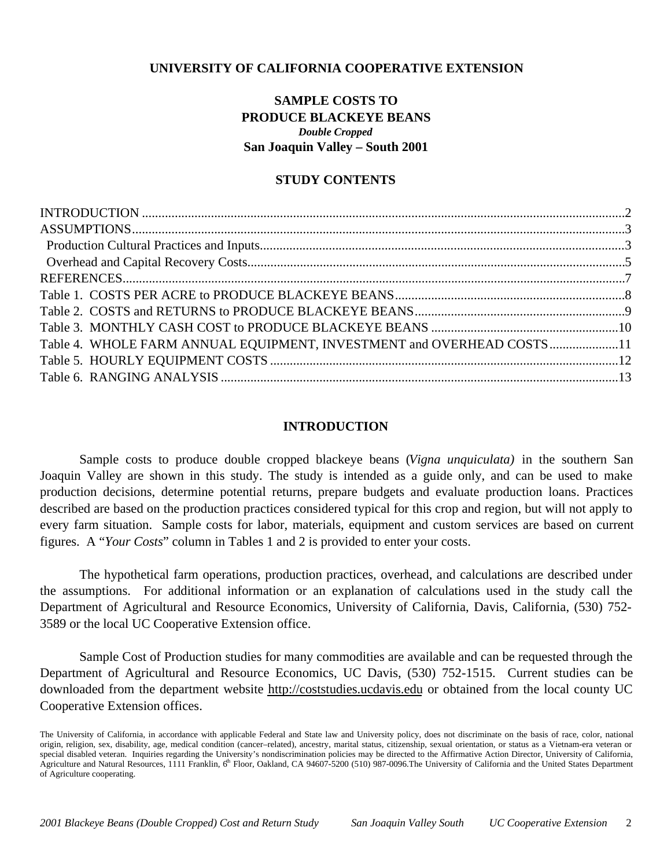# **UNIVERSITY OF CALIFORNIA COOPERATIVE EXTENSION**

# **SAMPLE COSTS TO PRODUCE BLACKEYE BEANS** *Double Cropped* **San Joaquin Valley – South 2001**

# **STUDY CONTENTS**

| Table 4. WHOLE FARM ANNUAL EQUIPMENT, INVESTMENT and OVERHEAD COSTS11 |  |
|-----------------------------------------------------------------------|--|
|                                                                       |  |
|                                                                       |  |
|                                                                       |  |

# **INTRODUCTION**

Sample costs to produce double cropped blackeye beans (*Vigna unquiculata)* in the southern San Joaquin Valley are shown in this study. The study is intended as a guide only, and can be used to make production decisions, determine potential returns, prepare budgets and evaluate production loans. Practices described are based on the production practices considered typical for this crop and region, but will not apply to every farm situation. Sample costs for labor, materials, equipment and custom services are based on current figures. A "*Your Costs*" column in Tables 1 and 2 is provided to enter your costs.

The hypothetical farm operations, production practices, overhead, and calculations are described under the assumptions. For additional information or an explanation of calculations used in the study call the Department of Agricultural and Resource Economics, University of California, Davis, California, (530) 752- 3589 or the local UC Cooperative Extension office.

Sample Cost of Production studies for many commodities are available and can be requested through the Department of Agricultural and Resource Economics, UC Davis, (530) 752-1515. Current studies can be downloaded from the department website http://coststudies.ucdavis.edu or obtained from the local county UC Cooperative Extension offices.

The University of California, in accordance with applicable Federal and State law and University policy, does not discriminate on the basis of race, color, national origin, religion, sex, disability, age, medical condition (cancer–related), ancestry, marital status, citizenship, sexual orientation, or status as a Vietnam-era veteran or special disabled veteran. Inquiries regarding the University's nondiscrimination policies may be directed to the Affirmative Action Director, University of California, Agriculture and Natural Resources, 1111 Franklin,  $6<sup>th</sup>$  Floor, Oakland, CA 94607-5200 (510) 987-0096. The University of California and the United States Department of Agriculture cooperating.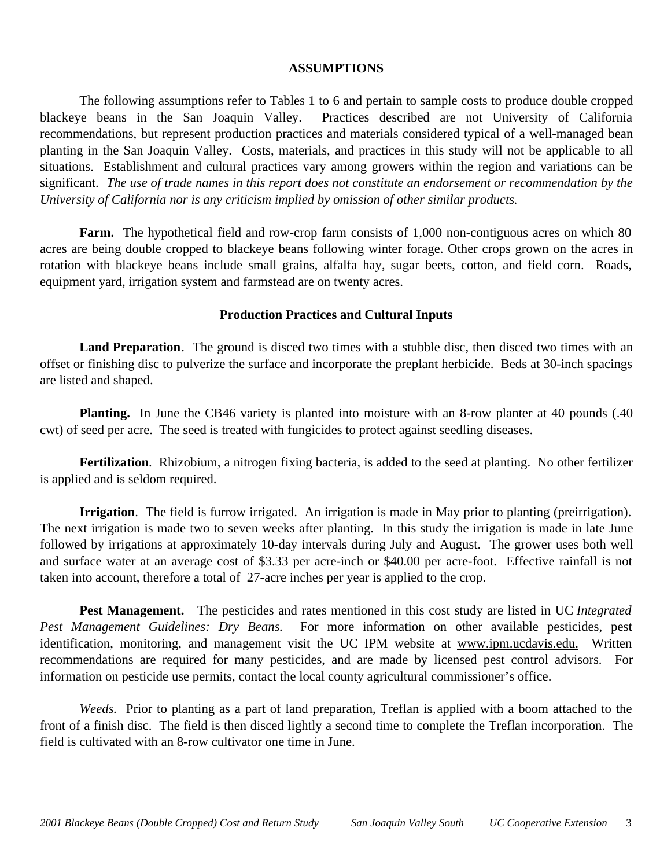### **ASSUMPTIONS**

The following assumptions refer to Tables 1 to 6 and pertain to sample costs to produce double cropped blackeye beans in the San Joaquin Valley. Practices described are not University of California recommendations, but represent production practices and materials considered typical of a well-managed bean planting in the San Joaquin Valley. Costs, materials, and practices in this study will not be applicable to all situations.Establishment and cultural practices vary among growers within the region and variations can be significant. *The use of trade names in this report does not constitute an endorsement or recommendation by the University of California nor is any criticism implied by omission of other similar products.*

**Farm.** The hypothetical field and row-crop farm consists of 1,000 non-contiguous acres on which 80 acres are being double cropped to blackeye beans following winter forage. Other crops grown on the acres in rotation with blackeye beans include small grains, alfalfa hay, sugar beets, cotton, and field corn. Roads, equipment yard, irrigation system and farmstead are on twenty acres.

# **Production Practices and Cultural Inputs**

**Land Preparation**. The ground is disced two times with a stubble disc, then disced two times with an offset or finishing disc to pulverize the surface and incorporate the preplant herbicide. Beds at 30-inch spacings are listed and shaped.

**Planting.** In June the CB46 variety is planted into moisture with an 8-row planter at 40 pounds (.40) cwt) of seed per acre. The seed is treated with fungicides to protect against seedling diseases.

**Fertilization**. Rhizobium, a nitrogen fixing bacteria, is added to the seed at planting. No other fertilizer is applied and is seldom required.

**Irrigation**. The field is furrow irrigated. An irrigation is made in May prior to planting (preirrigation). The next irrigation is made two to seven weeks after planting. In this study the irrigation is made in late June followed by irrigations at approximately 10-day intervals during July and August. The grower uses both well and surface water at an average cost of \$3.33 per acre-inch or \$40.00 per acre-foot. Effective rainfall is not taken into account, therefore a total of 27-acre inches per year is applied to the crop.

**Pest Management.** The pesticides and rates mentioned in this cost study are listed in UC *Integrated Pest Management Guidelines: Dry Beans.* For more information on other available pesticides, pest identification, monitoring, and management visit the UC IPM website at www.ipm.ucdavis.edu. Written recommendations are required for many pesticides, and are made by licensed pest control advisors. For information on pesticide use permits, contact the local county agricultural commissioner's office.

*Weeds.* Prior to planting as a part of land preparation, Treflan is applied with a boom attached to the front of a finish disc. The field is then disced lightly a second time to complete the Treflan incorporation. The field is cultivated with an 8-row cultivator one time in June.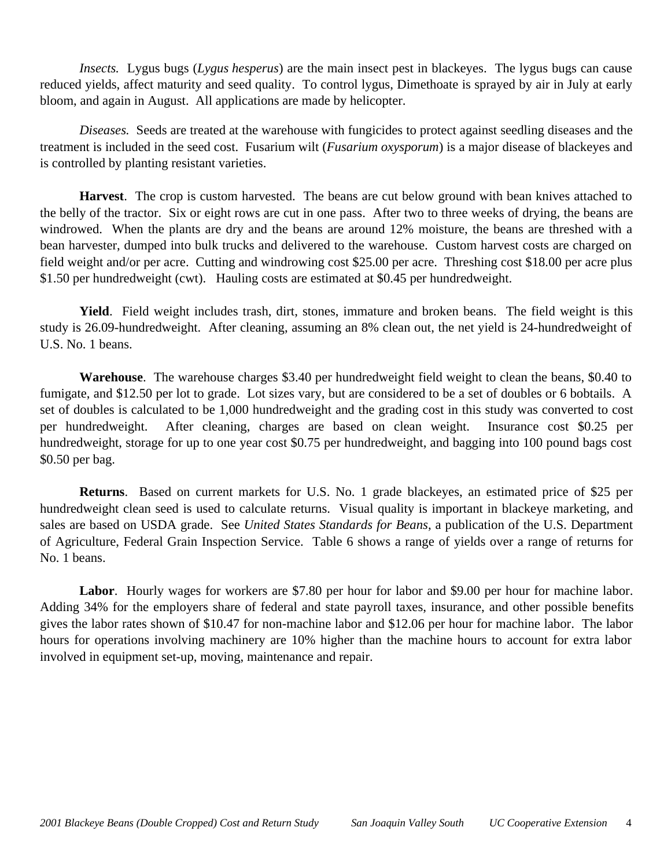*Insects.* Lygus bugs (*Lygus hesperus*) are the main insect pest in blackeyes. The lygus bugs can cause reduced yields, affect maturity and seed quality. To control lygus, Dimethoate is sprayed by air in July at early bloom, and again in August. All applications are made by helicopter.

*Diseases.* Seeds are treated at the warehouse with fungicides to protect against seedling diseases and the treatment is included in the seed cost. Fusarium wilt (*Fusarium oxysporum*) is a major disease of blackeyes and is controlled by planting resistant varieties.

**Harvest**. The crop is custom harvested. The beans are cut below ground with bean knives attached to the belly of the tractor. Six or eight rows are cut in one pass. After two to three weeks of drying, the beans are windrowed. When the plants are dry and the beans are around 12% moisture, the beans are threshed with a bean harvester, dumped into bulk trucks and delivered to the warehouse. Custom harvest costs are charged on field weight and/or per acre. Cutting and windrowing cost \$25.00 per acre. Threshing cost \$18.00 per acre plus \$1.50 per hundredweight (cwt). Hauling costs are estimated at \$0.45 per hundredweight.

**Yield**. Field weight includes trash, dirt, stones, immature and broken beans. The field weight is this study is 26.09-hundredweight. After cleaning, assuming an 8% clean out, the net yield is 24-hundredweight of U.S. No. 1 beans.

**Warehouse**. The warehouse charges \$3.40 per hundredweight field weight to clean the beans, \$0.40 to fumigate, and \$12.50 per lot to grade. Lot sizes vary, but are considered to be a set of doubles or 6 bobtails. A set of doubles is calculated to be 1,000 hundredweight and the grading cost in this study was converted to cost per hundredweight. After cleaning, charges are based on clean weight. Insurance cost \$0.25 per hundredweight, storage for up to one year cost \$0.75 per hundredweight, and bagging into 100 pound bags cost \$0.50 per bag.

**Returns**. Based on current markets for U.S. No. 1 grade blackeyes, an estimated price of \$25 per hundredweight clean seed is used to calculate returns. Visual quality is important in blackeye marketing, and sales are based on USDA grade. See *United States Standards for Beans*, a publication of the U.S. Department of Agriculture, Federal Grain Inspection Service. Table 6 shows a range of yields over a range of returns for No. 1 beans.

Labor. Hourly wages for workers are \$7.80 per hour for labor and \$9.00 per hour for machine labor. Adding 34% for the employers share of federal and state payroll taxes, insurance, and other possible benefits gives the labor rates shown of \$10.47 for non-machine labor and \$12.06 per hour for machine labor. The labor hours for operations involving machinery are 10% higher than the machine hours to account for extra labor involved in equipment set-up, moving, maintenance and repair.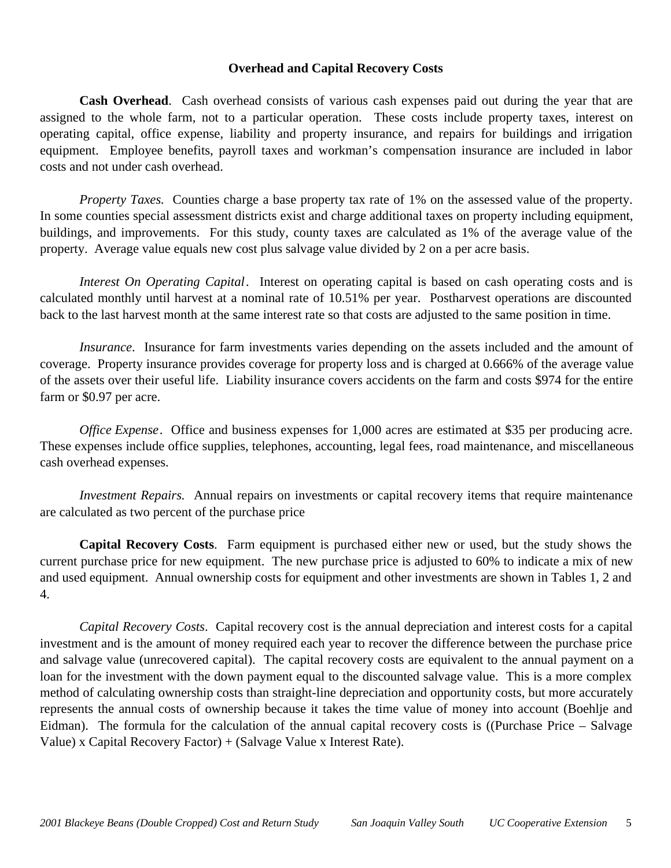# **Overhead and Capital Recovery Costs**

**Cash Overhead**. Cash overhead consists of various cash expenses paid out during the year that are assigned to the whole farm, not to a particular operation. These costs include property taxes, interest on operating capital, office expense, liability and property insurance, and repairs for buildings and irrigation equipment. Employee benefits, payroll taxes and workman's compensation insurance are included in labor costs and not under cash overhead.

*Property Taxes.* Counties charge a base property tax rate of 1% on the assessed value of the property. In some counties special assessment districts exist and charge additional taxes on property including equipment, buildings, and improvements. For this study, county taxes are calculated as 1% of the average value of the property. Average value equals new cost plus salvage value divided by 2 on a per acre basis.

*Interest On Operating Capital*. Interest on operating capital is based on cash operating costs and is calculated monthly until harvest at a nominal rate of 10.51% per year. Postharvest operations are discounted back to the last harvest month at the same interest rate so that costs are adjusted to the same position in time.

*Insurance*. Insurance for farm investments varies depending on the assets included and the amount of coverage. Property insurance provides coverage for property loss and is charged at 0.666% of the average value of the assets over their useful life. Liability insurance covers accidents on the farm and costs \$974 for the entire farm or \$0.97 per acre.

*Office Expense.* Office and business expenses for 1,000 acres are estimated at \$35 per producing acre. These expenses include office supplies, telephones, accounting, legal fees, road maintenance, and miscellaneous cash overhead expenses.

*Investment Repairs.* Annual repairs on investments or capital recovery items that require maintenance are calculated as two percent of the purchase price

**Capital Recovery Costs**. Farm equipment is purchased either new or used, but the study shows the current purchase price for new equipment. The new purchase price is adjusted to 60% to indicate a mix of new and used equipment. Annual ownership costs for equipment and other investments are shown in Tables 1, 2 and 4.

*Capital Recovery Costs*. Capital recovery cost is the annual depreciation and interest costs for a capital investment and is the amount of money required each year to recover the difference between the purchase price and salvage value (unrecovered capital). The capital recovery costs are equivalent to the annual payment on a loan for the investment with the down payment equal to the discounted salvage value. This is a more complex method of calculating ownership costs than straight-line depreciation and opportunity costs, but more accurately represents the annual costs of ownership because it takes the time value of money into account (Boehlje and Eidman). The formula for the calculation of the annual capital recovery costs is ((Purchase Price – Salvage Value) x Capital Recovery Factor) + (Salvage Value x Interest Rate).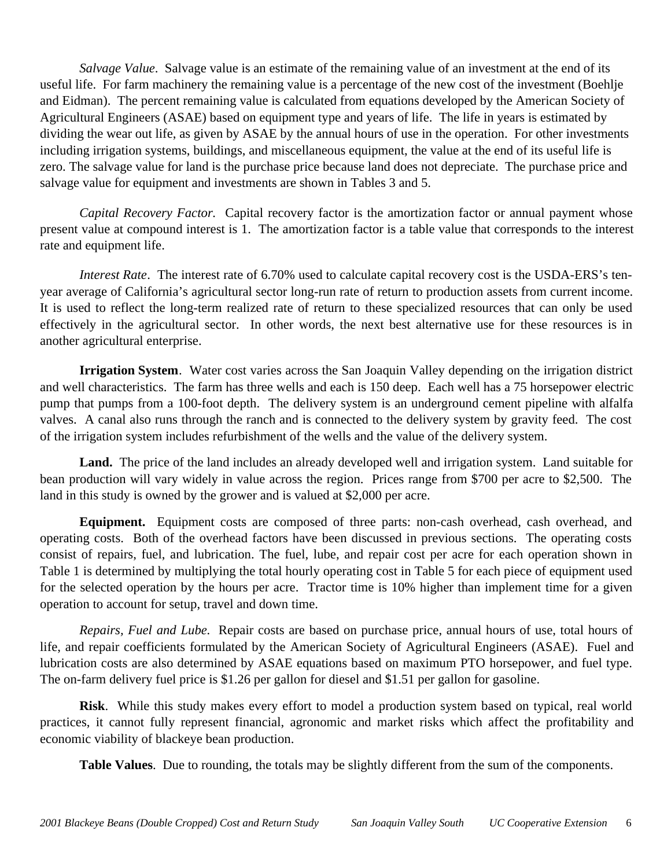*Salvage Value*. Salvage value is an estimate of the remaining value of an investment at the end of its useful life. For farm machinery the remaining value is a percentage of the new cost of the investment (Boehlje and Eidman). The percent remaining value is calculated from equations developed by the American Society of Agricultural Engineers (ASAE) based on equipment type and years of life. The life in years is estimated by dividing the wear out life, as given by ASAE by the annual hours of use in the operation. For other investments including irrigation systems, buildings, and miscellaneous equipment, the value at the end of its useful life is zero. The salvage value for land is the purchase price because land does not depreciate. The purchase price and salvage value for equipment and investments are shown in Tables 3 and 5.

*Capital Recovery Factor.* Capital recovery factor is the amortization factor or annual payment whose present value at compound interest is 1. The amortization factor is a table value that corresponds to the interest rate and equipment life.

*Interest Rate*. The interest rate of 6.70% used to calculate capital recovery cost is the USDA-ERS's tenyear average of California's agricultural sector long-run rate of return to production assets from current income. It is used to reflect the long-term realized rate of return to these specialized resources that can only be used effectively in the agricultural sector. In other words, the next best alternative use for these resources is in another agricultural enterprise.

**Irrigation System**. Water cost varies across the San Joaquin Valley depending on the irrigation district and well characteristics. The farm has three wells and each is 150 deep. Each well has a 75 horsepower electric pump that pumps from a 100-foot depth. The delivery system is an underground cement pipeline with alfalfa valves. A canal also runs through the ranch and is connected to the delivery system by gravity feed. The cost of the irrigation system includes refurbishment of the wells and the value of the delivery system.

**Land.** The price of the land includes an already developed well and irrigation system. Land suitable for bean production will vary widely in value across the region. Prices range from \$700 per acre to \$2,500. The land in this study is owned by the grower and is valued at \$2,000 per acre.

**Equipment.** Equipment costs are composed of three parts: non-cash overhead, cash overhead, and operating costs. Both of the overhead factors have been discussed in previous sections. The operating costs consist of repairs, fuel, and lubrication. The fuel, lube, and repair cost per acre for each operation shown in Table 1 is determined by multiplying the total hourly operating cost in Table 5 for each piece of equipment used for the selected operation by the hours per acre. Tractor time is 10% higher than implement time for a given operation to account for setup, travel and down time.

*Repairs, Fuel and Lube.* Repair costs are based on purchase price, annual hours of use, total hours of life, and repair coefficients formulated by the American Society of Agricultural Engineers (ASAE). Fuel and lubrication costs are also determined by ASAE equations based on maximum PTO horsepower, and fuel type. The on-farm delivery fuel price is \$1.26 per gallon for diesel and \$1.51 per gallon for gasoline.

**Risk**. While this study makes every effort to model a production system based on typical, real world practices, it cannot fully represent financial, agronomic and market risks which affect the profitability and economic viability of blackeye bean production.

**Table Values**. Due to rounding, the totals may be slightly different from the sum of the components.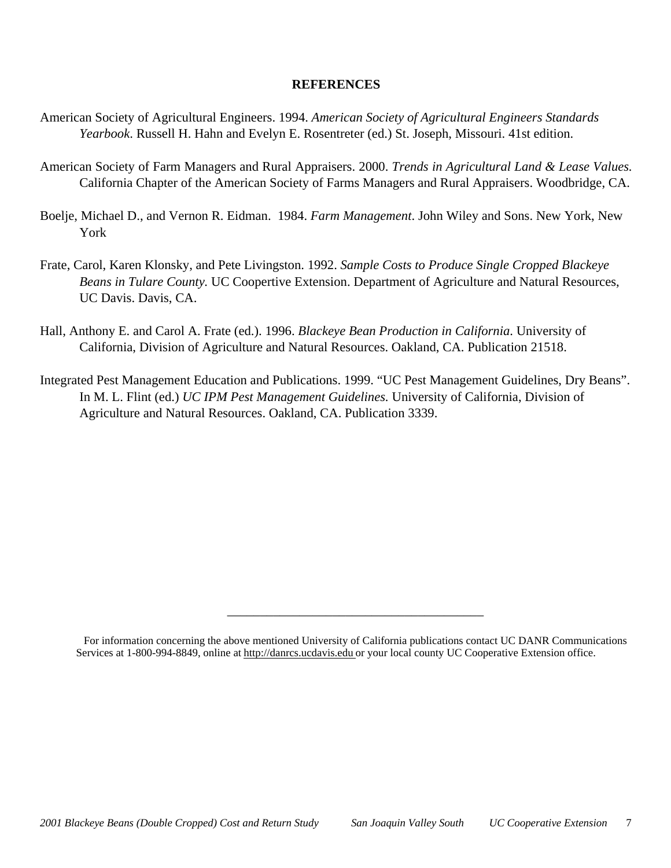# **REFERENCES**

- American Society of Agricultural Engineers. 1994. *American Society of Agricultural Engineers Standards Yearbook*. Russell H. Hahn and Evelyn E. Rosentreter (ed.) St. Joseph, Missouri. 41st edition.
- American Society of Farm Managers and Rural Appraisers. 2000. *Trends in Agricultural Land & Lease Values.* California Chapter of the American Society of Farms Managers and Rural Appraisers. Woodbridge, CA.
- Boelje, Michael D., and Vernon R. Eidman. 1984. *Farm Management*. John Wiley and Sons. New York, New York
- Frate, Carol, Karen Klonsky, and Pete Livingston. 1992. *Sample Costs to Produce Single Cropped Blackeye Beans in Tulare County.* UC Coopertive Extension. Department of Agriculture and Natural Resources, UC Davis. Davis, CA.
- Hall, Anthony E. and Carol A. Frate (ed.). 1996. *Blackeye Bean Production in California*. University of California, Division of Agriculture and Natural Resources. Oakland, CA. Publication 21518.
- Integrated Pest Management Education and Publications. 1999. "UC Pest Management Guidelines, Dry Beans". In M. L. Flint (ed.) *UC IPM Pest Management Guidelines.* University of California, Division of Agriculture and Natural Resources. Oakland, CA. Publication 3339.

\_\_\_\_\_\_\_\_\_\_\_\_\_\_\_\_\_\_\_\_\_\_\_\_\_\_\_\_\_\_\_\_\_\_\_\_\_\_\_

For information concerning the above mentioned University of California publications contact UC DANR Communications Services at 1-800-994-8849, online at http://danrcs.ucdavis.edu or your local county UC Cooperative Extension office.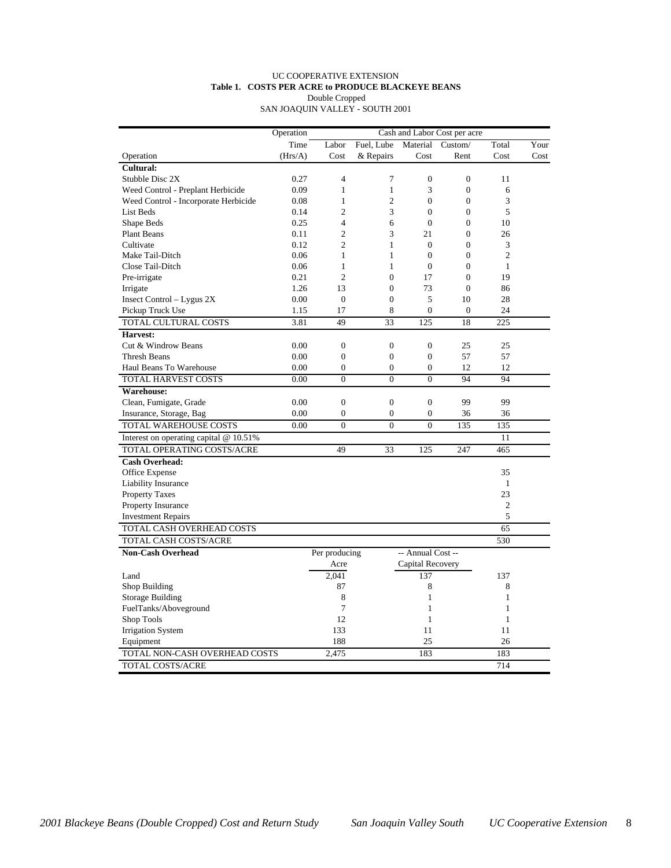#### UC COOPERATIVE EXTENSION **Table 1. COSTS PER ACRE to PRODUCE BLACKEYE BEANS** Double Cropped

SAN JOAQUIN VALLEY - SOUTH 2001

|                                        | Operation |                |                  |                   | Cash and Labor Cost per acre |                  |      |
|----------------------------------------|-----------|----------------|------------------|-------------------|------------------------------|------------------|------|
|                                        | Time      | Labor          | Fuel. Lube       | Material          | Custom/                      | Total            | Your |
| Operation                              | (Hrs/A)   | Cost           | & Repairs        | Cost              | Rent                         | Cost             | Cost |
| <b>Cultural:</b>                       |           |                |                  |                   |                              |                  |      |
| Stubble Disc 2X                        | 0.27      | $\overline{4}$ | 7                | $\overline{0}$    | $\overline{0}$               | 11               |      |
| Weed Control - Preplant Herbicide      | 0.09      | $\mathbf{1}$   | $\mathbf{1}$     | 3                 | $\boldsymbol{0}$             | 6                |      |
| Weed Control - Incorporate Herbicide   | 0.08      | 1              | $\overline{c}$   | $\overline{0}$    | $\overline{0}$               | 3                |      |
| List Beds                              | 0.14      | $\overline{2}$ | 3                | $\overline{0}$    | $\overline{0}$               | 5                |      |
| Shape Beds                             | 0.25      | $\overline{4}$ | 6                | $\overline{0}$    | $\mathbf{0}$                 | 10               |      |
| <b>Plant Beans</b>                     | 0.11      | $\overline{2}$ | 3                | 21                | $\overline{0}$               | 26               |      |
| Cultivate                              | 0.12      | $\overline{c}$ | 1                | $\Omega$          | $\Omega$                     | 3                |      |
| Make Tail-Ditch                        | 0.06      | $\mathbf{1}$   | $\mathbf{1}$     | $\overline{0}$    | $\overline{0}$               | $\overline{2}$   |      |
| Close Tail-Ditch                       | 0.06      | $\mathbf{1}$   | 1                | $\Omega$          | $\Omega$                     | $\mathbf{1}$     |      |
| Pre-irrigate                           | 0.21      | $\overline{c}$ | $\theta$         | 17                | $\theta$                     | 19               |      |
| Irrigate                               | 1.26      | 13             | $\mathbf{0}$     | 73                | $\overline{0}$               | 86               |      |
| Insect Control $-$ Lygus 2X            | 0.00      | $\Omega$       | $\Omega$         | 5                 | 10                           | 28               |      |
| Pickup Truck Use                       | 1.15      | 17             | 8                | $\overline{0}$    | $\mathbf{0}$                 | 24               |      |
| TOTAL CULTURAL COSTS                   | 3.81      | 49             | 33               | 125               | 18                           | 225              |      |
| Harvest:                               |           |                |                  |                   |                              |                  |      |
| Cut & Windrow Beans                    | 0.00      | $\mathbf{0}$   | $\boldsymbol{0}$ | $\mathbf{0}$      | 25                           | 25               |      |
| Thresh Beans                           | 0.00      | $\mathbf{0}$   | $\boldsymbol{0}$ | $\boldsymbol{0}$  | 57                           | 57               |      |
| Haul Beans To Warehouse                | 0.00      | $\mathbf{0}$   | $\mathbf{0}$     | $\mathbf{0}$      | 12                           | 12               |      |
| TOTAL HARVEST COSTS                    | 0.00      | $\theta$       | $\theta$         | $\theta$          | 94                           | 94               |      |
| <b>Warehouse:</b>                      |           |                |                  |                   |                              |                  |      |
| Clean, Fumigate, Grade                 | 0.00      | $\mathbf{0}$   | $\mathbf{0}$     | $\overline{0}$    | 99                           | 99               |      |
| Insurance, Storage, Bag                | 0.00      | $\mathbf{0}$   | $\mathbf{0}$     | $\overline{0}$    | 36                           | 36               |      |
| TOTAL WAREHOUSE COSTS                  | 0.00      | $\overline{0}$ | $\overline{0}$   | $\overline{0}$    | 135                          | 135              |      |
| Interest on operating capital @ 10.51% |           |                |                  |                   |                              | 11               |      |
| TOTAL OPERATING COSTS/ACRE             |           | 49             | 33               | 125               | 247                          | 465              |      |
| Cash Overhead:                         |           |                |                  |                   |                              |                  |      |
| Office Expense                         |           |                |                  |                   |                              | 35               |      |
| <b>Liability Insurance</b>             |           |                |                  |                   |                              | $\mathbf{1}$     |      |
| <b>Property Taxes</b>                  |           |                |                  |                   |                              | 23               |      |
| Property Insurance                     |           |                |                  |                   |                              | $\boldsymbol{2}$ |      |
| <b>Investment Repairs</b>              |           |                |                  |                   |                              | 5                |      |
| TOTAL CASH OVERHEAD COSTS              |           |                |                  |                   |                              | 65               |      |
|                                        |           |                |                  |                   |                              |                  |      |
| TOTAL CASH COSTS/ACRE                  |           |                |                  |                   |                              | 530              |      |
| <b>Non-Cash Overhead</b>               |           | Per producing  |                  | -- Annual Cost -- |                              |                  |      |
|                                        |           | Acre           |                  | Capital Recovery  |                              |                  |      |
| Land                                   |           | 2,041          |                  | 137               |                              | 137              |      |
| Shop Building                          |           | 87             |                  | 8                 |                              | 8                |      |
| Storage Building                       |           | 8              |                  | $\mathbf{1}$      |                              | $\mathbf{1}$     |      |
| FuelTanks/Aboveground                  |           | 7              |                  | $\mathbf{1}$      |                              | $\mathbf{1}$     |      |
| Shop Tools                             |           | 12             |                  | $\mathbf{1}$      |                              | $\mathbf{1}$     |      |
| <b>Irrigation System</b>               |           | 133            |                  | 11                |                              | 11               |      |
| Equipment                              |           | 188            |                  | 25                |                              | 26               |      |
| TOTAL NON-CASH OVERHEAD COSTS          |           | 2.475          |                  | 183               |                              | 183              |      |
| TOTAL COSTS/ACRE                       |           |                |                  |                   |                              | 714              |      |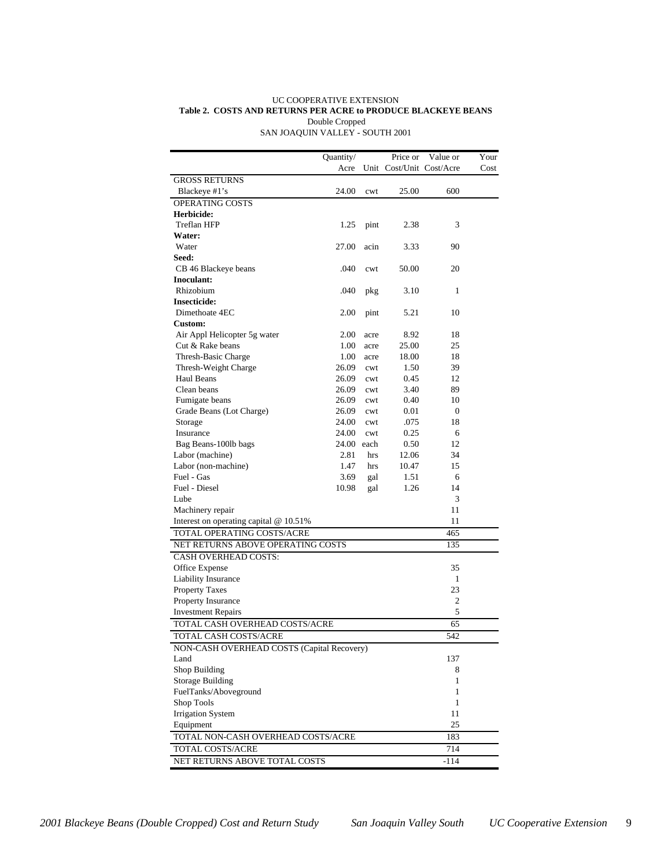#### UC COOPERATIVE EXTENSION **Table 2. COSTS AND RETURNS PER ACRE to PRODUCE BLACKEYE BEANS** Double Cropped SAN JOAQUIN VALLEY - SOUTH 2001

| Unit Cost/Unit Cost/Acre<br>Acre<br>Cost<br><b>GROSS RETURNS</b><br>Blackeye #1's<br>24.00<br>25.00<br>600<br>cwt<br>OPERATING COSTS<br>Herbicide:<br>Treflan HFP<br>3<br>1.25<br>pint<br>2.38<br>Water:<br>Water<br>27.00<br>3.33<br>90<br>acin<br>Seed:<br>CB 46 Blackeye beans<br>.040<br>50.00<br>20<br>cwt<br>Inoculant:<br>Rhizobium<br>.040<br>1<br>pkg<br>3.10<br><b>Insecticide:</b><br>Dimethoate 4EC<br>2.00<br>5.21<br>10<br>pint<br>Custom:<br>Air Appl Helicopter 5g water<br>2.00<br>8.92<br>18<br>acre<br>Cut & Rake beans<br>1.00<br>25.00<br>25<br>acre<br>Thresh-Basic Charge<br>1.00<br>18<br>18.00<br>acre<br>Thresh-Weight Charge<br>26.09<br>39<br>1.50<br>cwt<br>Haul Beans<br>26.09<br>12<br>0.45<br>cwt<br>Clean beans<br>26.09<br>3.40<br>89<br>cwt<br>0.40<br>10<br>Fumigate beans<br>26.09<br>cwt<br>Grade Beans (Lot Charge)<br>26.09<br>0.01<br>$\mathbf{0}$<br>cwt<br>Storage<br>24.00<br>.075<br>18<br>cwt<br>Insurance<br>0.25<br>24.00<br>6<br>cwt<br>0.50<br>12<br>Bag Beans-100lb bags<br>24.00 each<br>Labor (machine)<br>2.81<br>12.06<br>34<br>hrs<br>Labor (non-machine)<br>15<br>1.47<br>10.47<br>hrs<br>Fuel - Gas<br>3.69<br>1.51<br>6<br>gal<br>Fuel - Diesel<br>10.98<br>1.26<br>14<br>gal<br>3<br>Lube<br>11<br>Machinery repair<br>Interest on operating capital @ 10.51%<br>11<br>TOTAL OPERATING COSTS/ACRE<br>465<br>NET RETURNS ABOVE OPERATING COSTS<br>135<br><b>CASH OVERHEAD COSTS:</b><br>Office Expense<br>35<br>Liability Insurance<br>1<br><b>Property Taxes</b><br>23<br>Property Insurance<br>2<br>5<br><b>Investment Repairs</b><br>TOTAL CASH OVERHEAD COSTS/ACRE<br>65<br>542<br>TOTAL CASH COSTS/ACRE<br>NON-CASH OVERHEAD COSTS (Capital Recovery)<br>Land<br>137<br>Shop Building<br>8<br><b>Storage Building</b><br>1<br>FuelTanks/Aboveground<br>1<br>Shop Tools<br>1<br><b>Irrigation System</b><br>11<br>25<br>Equipment<br>TOTAL NON-CASH OVERHEAD COSTS/ACRE<br>183<br>TOTAL COSTS/ACRE<br>714 |                               | Quantity/ | Price or | Value or | Your |
|--------------------------------------------------------------------------------------------------------------------------------------------------------------------------------------------------------------------------------------------------------------------------------------------------------------------------------------------------------------------------------------------------------------------------------------------------------------------------------------------------------------------------------------------------------------------------------------------------------------------------------------------------------------------------------------------------------------------------------------------------------------------------------------------------------------------------------------------------------------------------------------------------------------------------------------------------------------------------------------------------------------------------------------------------------------------------------------------------------------------------------------------------------------------------------------------------------------------------------------------------------------------------------------------------------------------------------------------------------------------------------------------------------------------------------------------------------------------------------------------------------------------------------------------------------------------------------------------------------------------------------------------------------------------------------------------------------------------------------------------------------------------------------------------------------------------------------------------------------------------------------------------------------------------------------------------------------------------------|-------------------------------|-----------|----------|----------|------|
|                                                                                                                                                                                                                                                                                                                                                                                                                                                                                                                                                                                                                                                                                                                                                                                                                                                                                                                                                                                                                                                                                                                                                                                                                                                                                                                                                                                                                                                                                                                                                                                                                                                                                                                                                                                                                                                                                                                                                                          |                               |           |          |          |      |
|                                                                                                                                                                                                                                                                                                                                                                                                                                                                                                                                                                                                                                                                                                                                                                                                                                                                                                                                                                                                                                                                                                                                                                                                                                                                                                                                                                                                                                                                                                                                                                                                                                                                                                                                                                                                                                                                                                                                                                          |                               |           |          |          |      |
|                                                                                                                                                                                                                                                                                                                                                                                                                                                                                                                                                                                                                                                                                                                                                                                                                                                                                                                                                                                                                                                                                                                                                                                                                                                                                                                                                                                                                                                                                                                                                                                                                                                                                                                                                                                                                                                                                                                                                                          |                               |           |          |          |      |
|                                                                                                                                                                                                                                                                                                                                                                                                                                                                                                                                                                                                                                                                                                                                                                                                                                                                                                                                                                                                                                                                                                                                                                                                                                                                                                                                                                                                                                                                                                                                                                                                                                                                                                                                                                                                                                                                                                                                                                          |                               |           |          |          |      |
|                                                                                                                                                                                                                                                                                                                                                                                                                                                                                                                                                                                                                                                                                                                                                                                                                                                                                                                                                                                                                                                                                                                                                                                                                                                                                                                                                                                                                                                                                                                                                                                                                                                                                                                                                                                                                                                                                                                                                                          |                               |           |          |          |      |
|                                                                                                                                                                                                                                                                                                                                                                                                                                                                                                                                                                                                                                                                                                                                                                                                                                                                                                                                                                                                                                                                                                                                                                                                                                                                                                                                                                                                                                                                                                                                                                                                                                                                                                                                                                                                                                                                                                                                                                          |                               |           |          |          |      |
|                                                                                                                                                                                                                                                                                                                                                                                                                                                                                                                                                                                                                                                                                                                                                                                                                                                                                                                                                                                                                                                                                                                                                                                                                                                                                                                                                                                                                                                                                                                                                                                                                                                                                                                                                                                                                                                                                                                                                                          |                               |           |          |          |      |
|                                                                                                                                                                                                                                                                                                                                                                                                                                                                                                                                                                                                                                                                                                                                                                                                                                                                                                                                                                                                                                                                                                                                                                                                                                                                                                                                                                                                                                                                                                                                                                                                                                                                                                                                                                                                                                                                                                                                                                          |                               |           |          |          |      |
|                                                                                                                                                                                                                                                                                                                                                                                                                                                                                                                                                                                                                                                                                                                                                                                                                                                                                                                                                                                                                                                                                                                                                                                                                                                                                                                                                                                                                                                                                                                                                                                                                                                                                                                                                                                                                                                                                                                                                                          |                               |           |          |          |      |
|                                                                                                                                                                                                                                                                                                                                                                                                                                                                                                                                                                                                                                                                                                                                                                                                                                                                                                                                                                                                                                                                                                                                                                                                                                                                                                                                                                                                                                                                                                                                                                                                                                                                                                                                                                                                                                                                                                                                                                          |                               |           |          |          |      |
|                                                                                                                                                                                                                                                                                                                                                                                                                                                                                                                                                                                                                                                                                                                                                                                                                                                                                                                                                                                                                                                                                                                                                                                                                                                                                                                                                                                                                                                                                                                                                                                                                                                                                                                                                                                                                                                                                                                                                                          |                               |           |          |          |      |
|                                                                                                                                                                                                                                                                                                                                                                                                                                                                                                                                                                                                                                                                                                                                                                                                                                                                                                                                                                                                                                                                                                                                                                                                                                                                                                                                                                                                                                                                                                                                                                                                                                                                                                                                                                                                                                                                                                                                                                          |                               |           |          |          |      |
|                                                                                                                                                                                                                                                                                                                                                                                                                                                                                                                                                                                                                                                                                                                                                                                                                                                                                                                                                                                                                                                                                                                                                                                                                                                                                                                                                                                                                                                                                                                                                                                                                                                                                                                                                                                                                                                                                                                                                                          |                               |           |          |          |      |
|                                                                                                                                                                                                                                                                                                                                                                                                                                                                                                                                                                                                                                                                                                                                                                                                                                                                                                                                                                                                                                                                                                                                                                                                                                                                                                                                                                                                                                                                                                                                                                                                                                                                                                                                                                                                                                                                                                                                                                          |                               |           |          |          |      |
|                                                                                                                                                                                                                                                                                                                                                                                                                                                                                                                                                                                                                                                                                                                                                                                                                                                                                                                                                                                                                                                                                                                                                                                                                                                                                                                                                                                                                                                                                                                                                                                                                                                                                                                                                                                                                                                                                                                                                                          |                               |           |          |          |      |
|                                                                                                                                                                                                                                                                                                                                                                                                                                                                                                                                                                                                                                                                                                                                                                                                                                                                                                                                                                                                                                                                                                                                                                                                                                                                                                                                                                                                                                                                                                                                                                                                                                                                                                                                                                                                                                                                                                                                                                          |                               |           |          |          |      |
|                                                                                                                                                                                                                                                                                                                                                                                                                                                                                                                                                                                                                                                                                                                                                                                                                                                                                                                                                                                                                                                                                                                                                                                                                                                                                                                                                                                                                                                                                                                                                                                                                                                                                                                                                                                                                                                                                                                                                                          |                               |           |          |          |      |
|                                                                                                                                                                                                                                                                                                                                                                                                                                                                                                                                                                                                                                                                                                                                                                                                                                                                                                                                                                                                                                                                                                                                                                                                                                                                                                                                                                                                                                                                                                                                                                                                                                                                                                                                                                                                                                                                                                                                                                          |                               |           |          |          |      |
|                                                                                                                                                                                                                                                                                                                                                                                                                                                                                                                                                                                                                                                                                                                                                                                                                                                                                                                                                                                                                                                                                                                                                                                                                                                                                                                                                                                                                                                                                                                                                                                                                                                                                                                                                                                                                                                                                                                                                                          |                               |           |          |          |      |
|                                                                                                                                                                                                                                                                                                                                                                                                                                                                                                                                                                                                                                                                                                                                                                                                                                                                                                                                                                                                                                                                                                                                                                                                                                                                                                                                                                                                                                                                                                                                                                                                                                                                                                                                                                                                                                                                                                                                                                          |                               |           |          |          |      |
|                                                                                                                                                                                                                                                                                                                                                                                                                                                                                                                                                                                                                                                                                                                                                                                                                                                                                                                                                                                                                                                                                                                                                                                                                                                                                                                                                                                                                                                                                                                                                                                                                                                                                                                                                                                                                                                                                                                                                                          |                               |           |          |          |      |
|                                                                                                                                                                                                                                                                                                                                                                                                                                                                                                                                                                                                                                                                                                                                                                                                                                                                                                                                                                                                                                                                                                                                                                                                                                                                                                                                                                                                                                                                                                                                                                                                                                                                                                                                                                                                                                                                                                                                                                          |                               |           |          |          |      |
|                                                                                                                                                                                                                                                                                                                                                                                                                                                                                                                                                                                                                                                                                                                                                                                                                                                                                                                                                                                                                                                                                                                                                                                                                                                                                                                                                                                                                                                                                                                                                                                                                                                                                                                                                                                                                                                                                                                                                                          |                               |           |          |          |      |
|                                                                                                                                                                                                                                                                                                                                                                                                                                                                                                                                                                                                                                                                                                                                                                                                                                                                                                                                                                                                                                                                                                                                                                                                                                                                                                                                                                                                                                                                                                                                                                                                                                                                                                                                                                                                                                                                                                                                                                          |                               |           |          |          |      |
|                                                                                                                                                                                                                                                                                                                                                                                                                                                                                                                                                                                                                                                                                                                                                                                                                                                                                                                                                                                                                                                                                                                                                                                                                                                                                                                                                                                                                                                                                                                                                                                                                                                                                                                                                                                                                                                                                                                                                                          |                               |           |          |          |      |
|                                                                                                                                                                                                                                                                                                                                                                                                                                                                                                                                                                                                                                                                                                                                                                                                                                                                                                                                                                                                                                                                                                                                                                                                                                                                                                                                                                                                                                                                                                                                                                                                                                                                                                                                                                                                                                                                                                                                                                          |                               |           |          |          |      |
|                                                                                                                                                                                                                                                                                                                                                                                                                                                                                                                                                                                                                                                                                                                                                                                                                                                                                                                                                                                                                                                                                                                                                                                                                                                                                                                                                                                                                                                                                                                                                                                                                                                                                                                                                                                                                                                                                                                                                                          |                               |           |          |          |      |
|                                                                                                                                                                                                                                                                                                                                                                                                                                                                                                                                                                                                                                                                                                                                                                                                                                                                                                                                                                                                                                                                                                                                                                                                                                                                                                                                                                                                                                                                                                                                                                                                                                                                                                                                                                                                                                                                                                                                                                          |                               |           |          |          |      |
|                                                                                                                                                                                                                                                                                                                                                                                                                                                                                                                                                                                                                                                                                                                                                                                                                                                                                                                                                                                                                                                                                                                                                                                                                                                                                                                                                                                                                                                                                                                                                                                                                                                                                                                                                                                                                                                                                                                                                                          |                               |           |          |          |      |
|                                                                                                                                                                                                                                                                                                                                                                                                                                                                                                                                                                                                                                                                                                                                                                                                                                                                                                                                                                                                                                                                                                                                                                                                                                                                                                                                                                                                                                                                                                                                                                                                                                                                                                                                                                                                                                                                                                                                                                          |                               |           |          |          |      |
|                                                                                                                                                                                                                                                                                                                                                                                                                                                                                                                                                                                                                                                                                                                                                                                                                                                                                                                                                                                                                                                                                                                                                                                                                                                                                                                                                                                                                                                                                                                                                                                                                                                                                                                                                                                                                                                                                                                                                                          |                               |           |          |          |      |
|                                                                                                                                                                                                                                                                                                                                                                                                                                                                                                                                                                                                                                                                                                                                                                                                                                                                                                                                                                                                                                                                                                                                                                                                                                                                                                                                                                                                                                                                                                                                                                                                                                                                                                                                                                                                                                                                                                                                                                          |                               |           |          |          |      |
|                                                                                                                                                                                                                                                                                                                                                                                                                                                                                                                                                                                                                                                                                                                                                                                                                                                                                                                                                                                                                                                                                                                                                                                                                                                                                                                                                                                                                                                                                                                                                                                                                                                                                                                                                                                                                                                                                                                                                                          |                               |           |          |          |      |
|                                                                                                                                                                                                                                                                                                                                                                                                                                                                                                                                                                                                                                                                                                                                                                                                                                                                                                                                                                                                                                                                                                                                                                                                                                                                                                                                                                                                                                                                                                                                                                                                                                                                                                                                                                                                                                                                                                                                                                          |                               |           |          |          |      |
|                                                                                                                                                                                                                                                                                                                                                                                                                                                                                                                                                                                                                                                                                                                                                                                                                                                                                                                                                                                                                                                                                                                                                                                                                                                                                                                                                                                                                                                                                                                                                                                                                                                                                                                                                                                                                                                                                                                                                                          |                               |           |          |          |      |
|                                                                                                                                                                                                                                                                                                                                                                                                                                                                                                                                                                                                                                                                                                                                                                                                                                                                                                                                                                                                                                                                                                                                                                                                                                                                                                                                                                                                                                                                                                                                                                                                                                                                                                                                                                                                                                                                                                                                                                          |                               |           |          |          |      |
|                                                                                                                                                                                                                                                                                                                                                                                                                                                                                                                                                                                                                                                                                                                                                                                                                                                                                                                                                                                                                                                                                                                                                                                                                                                                                                                                                                                                                                                                                                                                                                                                                                                                                                                                                                                                                                                                                                                                                                          |                               |           |          |          |      |
|                                                                                                                                                                                                                                                                                                                                                                                                                                                                                                                                                                                                                                                                                                                                                                                                                                                                                                                                                                                                                                                                                                                                                                                                                                                                                                                                                                                                                                                                                                                                                                                                                                                                                                                                                                                                                                                                                                                                                                          |                               |           |          |          |      |
|                                                                                                                                                                                                                                                                                                                                                                                                                                                                                                                                                                                                                                                                                                                                                                                                                                                                                                                                                                                                                                                                                                                                                                                                                                                                                                                                                                                                                                                                                                                                                                                                                                                                                                                                                                                                                                                                                                                                                                          |                               |           |          |          |      |
|                                                                                                                                                                                                                                                                                                                                                                                                                                                                                                                                                                                                                                                                                                                                                                                                                                                                                                                                                                                                                                                                                                                                                                                                                                                                                                                                                                                                                                                                                                                                                                                                                                                                                                                                                                                                                                                                                                                                                                          |                               |           |          |          |      |
|                                                                                                                                                                                                                                                                                                                                                                                                                                                                                                                                                                                                                                                                                                                                                                                                                                                                                                                                                                                                                                                                                                                                                                                                                                                                                                                                                                                                                                                                                                                                                                                                                                                                                                                                                                                                                                                                                                                                                                          |                               |           |          |          |      |
|                                                                                                                                                                                                                                                                                                                                                                                                                                                                                                                                                                                                                                                                                                                                                                                                                                                                                                                                                                                                                                                                                                                                                                                                                                                                                                                                                                                                                                                                                                                                                                                                                                                                                                                                                                                                                                                                                                                                                                          |                               |           |          |          |      |
|                                                                                                                                                                                                                                                                                                                                                                                                                                                                                                                                                                                                                                                                                                                                                                                                                                                                                                                                                                                                                                                                                                                                                                                                                                                                                                                                                                                                                                                                                                                                                                                                                                                                                                                                                                                                                                                                                                                                                                          |                               |           |          |          |      |
|                                                                                                                                                                                                                                                                                                                                                                                                                                                                                                                                                                                                                                                                                                                                                                                                                                                                                                                                                                                                                                                                                                                                                                                                                                                                                                                                                                                                                                                                                                                                                                                                                                                                                                                                                                                                                                                                                                                                                                          |                               |           |          |          |      |
|                                                                                                                                                                                                                                                                                                                                                                                                                                                                                                                                                                                                                                                                                                                                                                                                                                                                                                                                                                                                                                                                                                                                                                                                                                                                                                                                                                                                                                                                                                                                                                                                                                                                                                                                                                                                                                                                                                                                                                          |                               |           |          |          |      |
|                                                                                                                                                                                                                                                                                                                                                                                                                                                                                                                                                                                                                                                                                                                                                                                                                                                                                                                                                                                                                                                                                                                                                                                                                                                                                                                                                                                                                                                                                                                                                                                                                                                                                                                                                                                                                                                                                                                                                                          |                               |           |          |          |      |
|                                                                                                                                                                                                                                                                                                                                                                                                                                                                                                                                                                                                                                                                                                                                                                                                                                                                                                                                                                                                                                                                                                                                                                                                                                                                                                                                                                                                                                                                                                                                                                                                                                                                                                                                                                                                                                                                                                                                                                          |                               |           |          |          |      |
|                                                                                                                                                                                                                                                                                                                                                                                                                                                                                                                                                                                                                                                                                                                                                                                                                                                                                                                                                                                                                                                                                                                                                                                                                                                                                                                                                                                                                                                                                                                                                                                                                                                                                                                                                                                                                                                                                                                                                                          |                               |           |          |          |      |
|                                                                                                                                                                                                                                                                                                                                                                                                                                                                                                                                                                                                                                                                                                                                                                                                                                                                                                                                                                                                                                                                                                                                                                                                                                                                                                                                                                                                                                                                                                                                                                                                                                                                                                                                                                                                                                                                                                                                                                          |                               |           |          |          |      |
|                                                                                                                                                                                                                                                                                                                                                                                                                                                                                                                                                                                                                                                                                                                                                                                                                                                                                                                                                                                                                                                                                                                                                                                                                                                                                                                                                                                                                                                                                                                                                                                                                                                                                                                                                                                                                                                                                                                                                                          |                               |           |          |          |      |
|                                                                                                                                                                                                                                                                                                                                                                                                                                                                                                                                                                                                                                                                                                                                                                                                                                                                                                                                                                                                                                                                                                                                                                                                                                                                                                                                                                                                                                                                                                                                                                                                                                                                                                                                                                                                                                                                                                                                                                          |                               |           |          |          |      |
|                                                                                                                                                                                                                                                                                                                                                                                                                                                                                                                                                                                                                                                                                                                                                                                                                                                                                                                                                                                                                                                                                                                                                                                                                                                                                                                                                                                                                                                                                                                                                                                                                                                                                                                                                                                                                                                                                                                                                                          |                               |           |          |          |      |
|                                                                                                                                                                                                                                                                                                                                                                                                                                                                                                                                                                                                                                                                                                                                                                                                                                                                                                                                                                                                                                                                                                                                                                                                                                                                                                                                                                                                                                                                                                                                                                                                                                                                                                                                                                                                                                                                                                                                                                          |                               |           |          |          |      |
|                                                                                                                                                                                                                                                                                                                                                                                                                                                                                                                                                                                                                                                                                                                                                                                                                                                                                                                                                                                                                                                                                                                                                                                                                                                                                                                                                                                                                                                                                                                                                                                                                                                                                                                                                                                                                                                                                                                                                                          | NET RETURNS ABOVE TOTAL COSTS |           |          | $-114$   |      |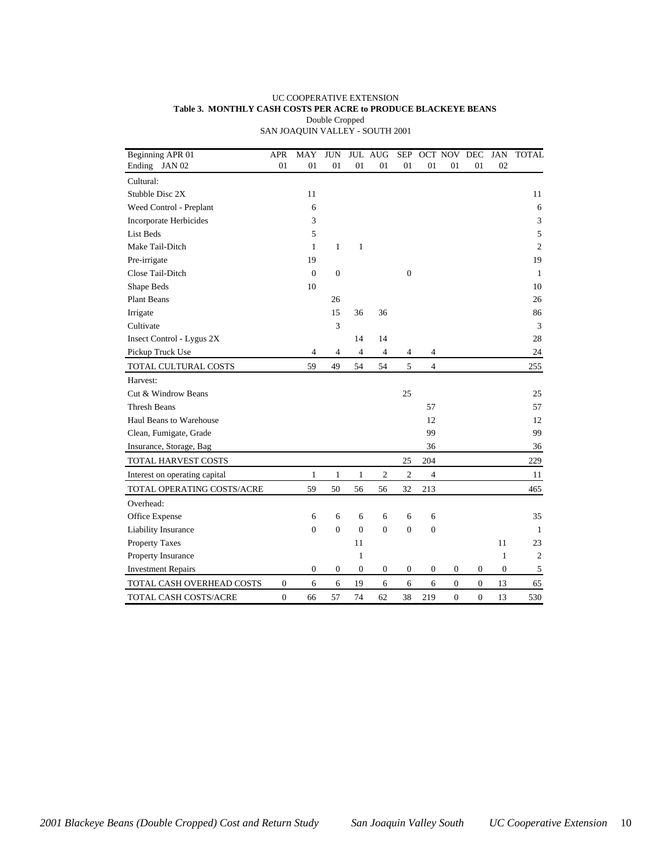#### UC COOPERATIVE EXTENSION **Table 3. MONTHLY CASH COSTS PER ACRE to PRODUCE BLACKEYE BEANS** Double Cropped SAN JOAQUIN VALLEY - SOUTH 2001

| Beginning APR 01              | <b>APR</b>       | MAY            | <b>JUN</b>   | <b>JUL</b>     | AUG                     | <b>SEP</b>       |                  | <b>OCT NOV</b>   | $\overline{DEC}$ | <b>JAN</b>   | <b>TOTAL</b>   |
|-------------------------------|------------------|----------------|--------------|----------------|-------------------------|------------------|------------------|------------------|------------------|--------------|----------------|
| Ending JAN 02                 | 01               | 01             | 01           | 01             | 01                      | 01               | 01               | 01               | 01               | 02           |                |
| Cultural:                     |                  |                |              |                |                         |                  |                  |                  |                  |              |                |
| Stubble Disc 2X               |                  | 11             |              |                |                         |                  |                  |                  |                  |              | 11             |
| Weed Control - Preplant       |                  | 6              |              |                |                         |                  |                  |                  |                  |              | 6              |
| <b>Incorporate Herbicides</b> |                  | 3              |              |                |                         |                  |                  |                  |                  |              | 3              |
| <b>List Beds</b>              |                  | 5              |              |                |                         |                  |                  |                  |                  |              | 5              |
| Make Tail-Ditch               |                  | $\mathbf{1}$   | $\mathbf{1}$ | 1              |                         |                  |                  |                  |                  |              | $\overline{c}$ |
| Pre-irrigate                  |                  | 19             |              |                |                         |                  |                  |                  |                  |              | 19             |
| Close Tail-Ditch              |                  | $\mathbf{0}$   | $\mathbf{0}$ |                |                         | $\boldsymbol{0}$ |                  |                  |                  |              | 1              |
| Shape Beds                    |                  | 10             |              |                |                         |                  |                  |                  |                  |              | 10             |
| <b>Plant Beans</b>            |                  |                | 26           |                |                         |                  |                  |                  |                  |              | 26             |
| Irrigate                      |                  |                | 15           | 36             | 36                      |                  |                  |                  |                  |              | 86             |
| Cultivate                     |                  |                | 3            |                |                         |                  |                  |                  |                  |              | 3              |
| Insect Control - Lygus 2X     |                  |                |              | 14             | 14                      |                  |                  |                  |                  |              | 28             |
| Pickup Truck Use              |                  | 4              | 4            | $\overline{4}$ | $\overline{\mathbf{4}}$ | $\overline{4}$   | 4                |                  |                  |              | 24             |
| TOTAL CULTURAL COSTS          |                  | 59             | 49           | 54             | 54                      | 5                | $\overline{4}$   |                  |                  |              | 255            |
| Harvest:                      |                  |                |              |                |                         |                  |                  |                  |                  |              |                |
| Cut & Windrow Beans           |                  |                |              |                |                         | 25               |                  |                  |                  |              | 25             |
| <b>Thresh Beans</b>           |                  |                |              |                |                         |                  | 57               |                  |                  |              | 57             |
| Haul Beans to Warehouse       |                  |                |              |                |                         |                  | 12               |                  |                  |              | 12             |
| Clean, Fumigate, Grade        |                  |                |              |                |                         |                  | 99               |                  |                  |              | 99             |
| Insurance, Storage, Bag       |                  |                |              |                |                         |                  | 36               |                  |                  |              | 36             |
| TOTAL HARVEST COSTS           |                  |                |              |                |                         | 25               | 204              |                  |                  |              | 229            |
| Interest on operating capital |                  | $\mathbf{1}$   | $\mathbf{1}$ | 1              | $\mathfrak{2}$          | $\mathbf{2}$     | $\overline{4}$   |                  |                  |              | 11             |
| TOTAL OPERATING COSTS/ACRE    |                  | 59             | 50           | 56             | 56                      | 32               | 213              |                  |                  |              | 465            |
| Overhead:                     |                  |                |              |                |                         |                  |                  |                  |                  |              |                |
| Office Expense                |                  | 6              | 6            | 6              | 6                       | 6                | 6                |                  |                  |              | 35             |
| Liability Insurance           |                  | $\overline{0}$ | $\Omega$     | $\Omega$       | $\overline{0}$          | $\mathbf{0}$     | $\mathbf{0}$     |                  |                  |              | 1              |
| <b>Property Taxes</b>         |                  |                |              | 11             |                         |                  |                  |                  |                  | 11           | 23             |
| Property Insurance            |                  |                |              | 1              |                         |                  |                  |                  |                  | $\mathbf{1}$ | $\overline{c}$ |
| <b>Investment Repairs</b>     |                  | 0              | 0            | $\mathbf{0}$   | $\boldsymbol{0}$        | $\boldsymbol{0}$ | $\boldsymbol{0}$ | $\boldsymbol{0}$ | 0                | $\mathbf{0}$ | 5              |
| TOTAL CASH OVERHEAD COSTS     | $\boldsymbol{0}$ | 6              | $\epsilon$   | 19             | 6                       | 6                | $\epsilon$       | $\boldsymbol{0}$ | $\boldsymbol{0}$ | 13           | 65             |
| TOTAL CASH COSTS/ACRE         | $\overline{0}$   | 66             | 57           | 74             | 62                      | 38               | 219              | $\overline{0}$   | $\overline{0}$   | 13           | 530            |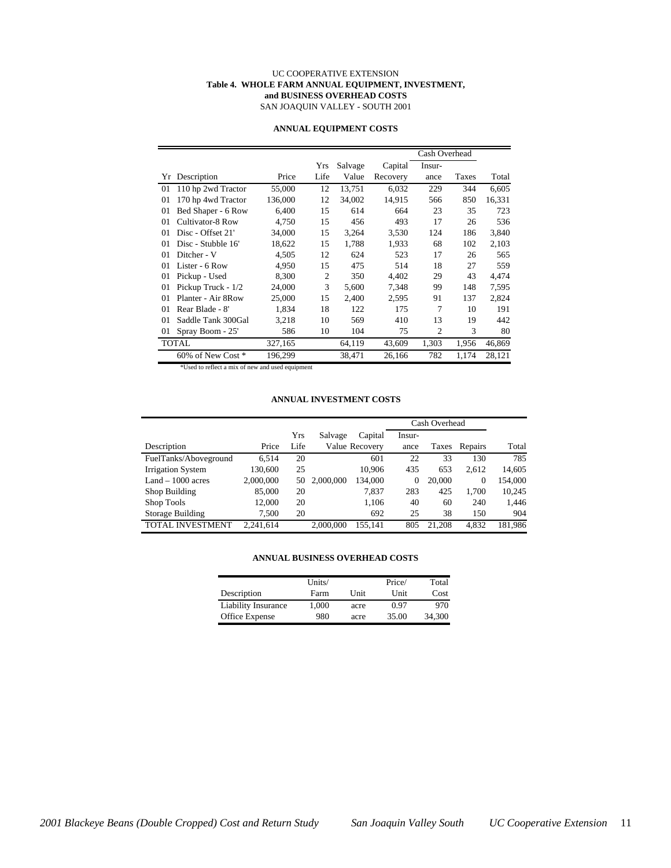#### UC COOPERATIVE EXTENSION **Table 4. WHOLE FARM ANNUAL EQUIPMENT, INVESTMENT, and BUSINESS OVERHEAD COSTS** SAN JOAQUIN VALLEY - SOUTH 2001

|    |                    |         |                |         |          | Cash Overhead  |       |        |
|----|--------------------|---------|----------------|---------|----------|----------------|-------|--------|
|    |                    |         | Yrs            | Salvage | Capital  | Insur-         |       |        |
| Yr | Description        | Price   | Life           | Value   | Recovery | ance           | Taxes | Total  |
| 01 | 110 hp 2wd Tractor | 55,000  | 12             | 13,751  | 6,032    | 229            | 344   | 6,605  |
| 01 | 170 hp 4wd Tractor | 136,000 | 12             | 34,002  | 14,915   | 566            | 850   | 16,331 |
| 01 | Bed Shaper - 6 Row | 6,400   | 15             | 614     | 664      | 23             | 35    | 723    |
| 01 | Cultivator-8 Row   | 4,750   | 15             | 456     | 493      | 17             | 26    | 536    |
| 01 | Disc - Offset 21'  | 34,000  | 15             | 3,264   | 3,530    | 124            | 186   | 3,840  |
| 01 | Disc - Stubble 16' | 18,622  | 15             | 1,788   | 1,933    | 68             | 102   | 2,103  |
| 01 | Ditcher - V        | 4,505   | 12             | 624     | 523      | 17             | 26    | 565    |
| 01 | Lister - 6 Row     | 4,950   | 15             | 475     | 514      | 18             | 27    | 559    |
| 01 | Pickup - Used      | 8.300   | $\overline{2}$ | 350     | 4.402    | 29             | 43    | 4,474  |
| 01 | Pickup Truck - 1/2 | 24,000  | 3              | 5,600   | 7.348    | 99             | 148   | 7,595  |
| 01 | Planter - Air 8Row | 25,000  | 15             | 2,400   | 2,595    | 91             | 137   | 2,824  |
| 01 | Rear Blade - 8'    | 1,834   | 18             | 122     | 175      | 7              | 10    | 191    |
| 01 | Saddle Tank 300Gal | 3,218   | 10             | 569     | 410      | 13             | 19    | 442    |
| 01 | Spray Boom - 25'   | 586     | 10             | 104     | 75       | $\overline{2}$ | 3     | 80     |
|    | <b>TOTAL</b>       | 327,165 |                | 64,119  | 43,609   | 1,303          | 1,956 | 46,869 |
|    | 60% of New Cost *  | 196,299 |                | 38,471  | 26,166   | 782            | 1,174 | 28,121 |

#### **ANNUAL EQUIPMENT COSTS**

\*Used to reflect a mix of new and used equipment

#### **ANNUAL INVESTMENT COSTS**

|                         |           |      |           |                |        | Cash Overhead |              |         |
|-------------------------|-----------|------|-----------|----------------|--------|---------------|--------------|---------|
|                         |           | Yrs  | Salvage   | Capital        | Insur- |               |              |         |
| Description             | Price     | Life |           | Value Recovery | ance   | Taxes         | Repairs      | Total   |
| FuelTanks/Aboveground   | 6.514     | 20   |           | 601            | 22     | 33            | 130          | 785     |
| Irrigation System       | 130,600   | 25   |           | 10,906         | 435    | 653           | 2,612        | 14,605  |
| $Land - 1000 acres$     | 2,000,000 | 50   | 2.000.000 | 134,000        | 0      | 20,000        | $\mathbf{0}$ | 154,000 |
| Shop Building           | 85,000    | 20   |           | 7.837          | 283    | 425           | 1.700        | 10,245  |
| Shop Tools              | 12,000    | 20   |           | 1,106          | 40     | 60            | 240          | 1,446   |
| Storage Building        | 7.500     | 20   |           | 692            | 25     | 38            | 150          | 904     |
| <b>TOTAL INVESTMENT</b> | 2.241.614 |      | 2,000,000 | 155.141        | 805    | 21.208        | 4.832        | 181.986 |

#### **ANNUAL BUSINESS OVERHEAD COSTS**

|                            | Units/ |      | Price/      | Total  |
|----------------------------|--------|------|-------------|--------|
| Description                | Farm   | Unit | <b>Unit</b> | Cost   |
| <b>Liability Insurance</b> | 1.000  | acre | 0.97        | 970    |
| Office Expense             | 980    | acre | 35.00       | 34.300 |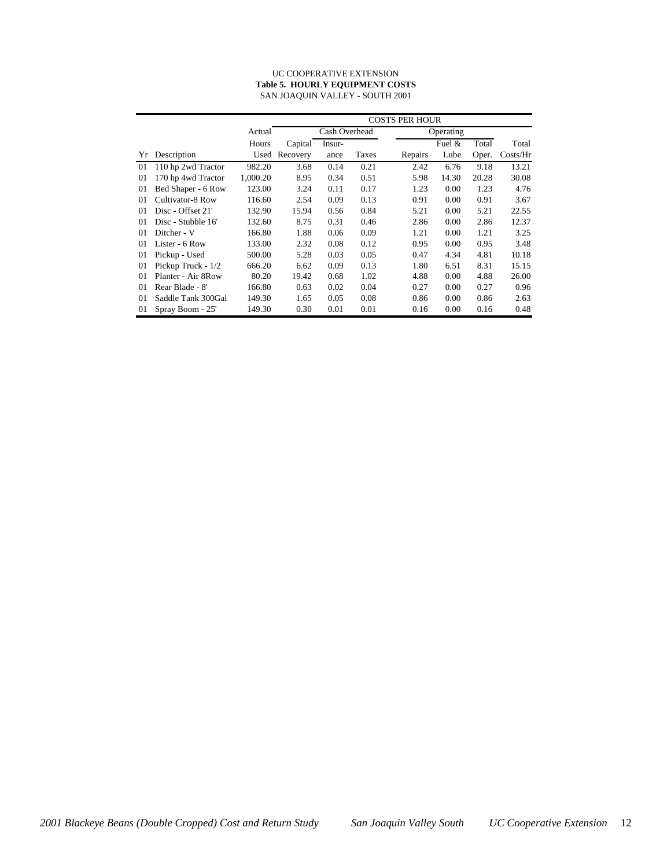#### UC COOPERATIVE EXTENSION **Table 5. HOURLY EQUIPMENT COSTS** SAN JOAQUIN VALLEY - SOUTH 2001

|    |                    |          | <b>COSTS PER HOUR</b> |               |       |         |           |       |          |  |
|----|--------------------|----------|-----------------------|---------------|-------|---------|-----------|-------|----------|--|
|    |                    | Actual   |                       | Cash Overhead |       |         | Operating |       |          |  |
|    |                    | Hours    | Capital               | Insur-        |       |         | Fuel $&$  | Total | Total    |  |
| Yr | Description        | Used     | Recovery              | ance          | Taxes | Repairs | Lube      | Oper. | Costs/Hr |  |
| 01 | 110 hp 2wd Tractor | 982.20   | 3.68                  | 0.14          | 0.21  | 2.42    | 6.76      | 9.18  | 13.21    |  |
| 01 | 170 hp 4wd Tractor | 1,000.20 | 8.95                  | 0.34          | 0.51  | 5.98    | 14.30     | 20.28 | 30.08    |  |
| 01 | Bed Shaper - 6 Row | 123.00   | 3.24                  | 0.11          | 0.17  | 1.23    | 0.00      | 1.23  | 4.76     |  |
| 01 | Cultivator-8 Row   | 116.60   | 2.54                  | 0.09          | 0.13  | 0.91    | 0.00      | 0.91  | 3.67     |  |
| 01 | Disc - Offset 21'  | 132.90   | 15.94                 | 0.56          | 0.84  | 5.21    | 0.00      | 5.21  | 22.55    |  |
| 01 | Disc - Stubble 16' | 132.60   | 8.75                  | 0.31          | 0.46  | 2.86    | 0.00      | 2.86  | 12.37    |  |
| 01 | Ditcher - V        | 166.80   | 1.88                  | 0.06          | 0.09  | 1.21    | 0.00      | 1.21  | 3.25     |  |
| 01 | Lister - 6 Row     | 133.00   | 2.32                  | 0.08          | 0.12  | 0.95    | 0.00      | 0.95  | 3.48     |  |
| 01 | Pickup - Used      | 500.00   | 5.28                  | 0.03          | 0.05  | 0.47    | 4.34      | 4.81  | 10.18    |  |
| 01 | Pickup Truck - 1/2 | 666.20   | 6.62                  | 0.09          | 0.13  | 1.80    | 6.51      | 8.31  | 15.15    |  |
| 01 | Planter - Air 8Row | 80.20    | 19.42                 | 0.68          | 1.02  | 4.88    | 0.00      | 4.88  | 26.00    |  |
| 01 | Rear Blade - 8'    | 166.80   | 0.63                  | 0.02          | 0.04  | 0.27    | 0.00      | 0.27  | 0.96     |  |
| 01 | Saddle Tank 300Gal | 149.30   | 1.65                  | 0.05          | 0.08  | 0.86    | 0.00      | 0.86  | 2.63     |  |
| 01 | Spray Boom - 25'   | 149.30   | 0.30                  | 0.01          | 0.01  | 0.16    | 0.00      | 0.16  | 0.48     |  |